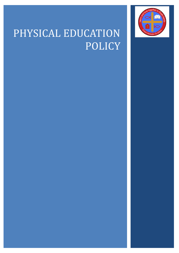

# PHYSICAL EDUCATION POLICY

- 
- 
- 
- -
- -
	-
- -
- -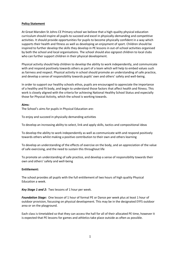#### **Policy Statement**

At Great Marsden St Johns CE Primary school we believe that a high-quality physical education curriculum should inspire all pupils to succeed and excel in physically-demanding and competitive activities. It should provide opportunities for pupils to become physically confident in a way which supports their health and fitness as well as developing an enjoyment of sport. Children should be inspired to further develop the skills they develop in PE lessons in out-of-school activities organised by both the school and local organisations. The school should also signpost children to local clubs who can further support children in their physical development.

Physical activity should help children to develop the ability to work independently, and communicate with and respond positively towards others as part of a team which will help to embed values such as fairness and respect. Physical activity in school should promote an understanding of safe practice, and develop a sense of responsibility towards pupils' own and others' safety and well-being.

In order to support our healthy schools ethos, pupils are encouraged to appreciate the importance of a healthy and fit body, and begin to understand those factors that affect health and fitness. This work is closely aligned with the criteria for achieving National Healthy School Status and especially those for Physical Activity, which the school is working towards.

#### **Aims:**

The School's aims for pupils in Physical Education are:

To enjoy and succeed in physically demanding activities

To develop an increasing ability to select, link and apply skills, tactics and compositional ideas

To develop the ability to work independently as well as communicate with and respond positively towards others whilst making a positive contribution to their own and others learning

To develop an understanding of the effects of exercise on the body, and an appreciation of the value of safe exercising, and the need to sustain this throughout life

To promote an understanding of safe practice, and develop a sense of responsibility towards their own and others' safety and well-being

#### **Entitlement:**

The school provides all pupils with the full entitlement of two hours of high quality Physical Education a week.

*Key Stage 1 and 2:* Two lessons of 1 hour per week.

*Foundation Stage:* One lesson of 1 hour of formal PE or Dance per week plus at least 1 hour of outdoor provision, focussing on physical development. This may be in the designated EYFS outdoor area or on the playground.

Each class is timetabled so that they can access the hall for all of their allocated PE time, however it is expected that PE lessons for games and athletics take place outside as often as possible.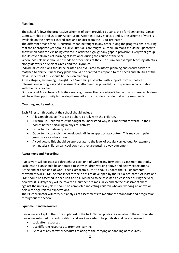# **Planning:**

The school follows the progressive schemes of work provided by Lancashire for Gymnastics, Dance, Games, Athletics and Outdoor Adventurous Activities at Key Stages 1 and 2*.* The scheme of work is available on the network shared area and on disc from the PE co-ordinator.

The different areas of the PE curriculum can be taught in any order, along the progressions, ensuring that the appropriate year group curriculum skills are taught. Curriculum maps should be updated to show when each topic is being covered in order to highlight any gaps in provision. Every year group should cover all areas of learning at least once during the course of the year.

Where possible links should be made to other parts of the curriculum, for example teaching athletics alongside work on Ancient Greek and the Olympics.

Individual lesson plans should be printed and evaluated to inform planning and ensure tasks are matched to ability. If necessary plans should be adapted to respond to the needs and abilities of the class. Evidence of this should be seen on planning.

At key stage 2, swimming is taught by a Swimming Instructor with support from school staff. Information on progress and assessment of attainment is provided by this person in consultation with the class teacher.

Outdoor and Adventurous Activities are taught using the Lancashire Scheme of work. Year 6 children will have the opportunity to develop these skills on an outdoor residential in the summer term.

# **Teaching and Learning:**

Each PE lesson throughout the school should include

- A lesson objective. This can be shared orally with the children.
- A warm up. Children must be taught to understand why it is important to warm up their bodies before partaking in physical activity.
- Opportunity to develop a skill.
- Opportunity to apply the developed skill in an appropriate context. This may be in pairs, groups or as a whole class.
- A cool down. This should be appropriate to the level of activity carried out. For example in gymnastics children can cool down as they are putting away equipment.

#### **Assessment and Recording:**

Pupils work will be assessed throughout each unit of work using formative assessment methods. Each lesson plan should be annotated to show children working above and below expectations. At the end of each unit of work, each class from Y1 to Y4 should update the PE Fundamental Movement Skills (FMS) Spreadsheet for their class as developed by the PE Co-ordinator. At least one FMS should be assessed in each unit and all FMS need to be assessed at least once during the year, however it is likely they will be covered a number of times. In Y5 and Y6 the assessment sheet against the units key skills should be completed indicating children who are working at, above or below the age related expectations.

The PE coordinator will carry out analysis of assessments to monitor the standards and progression throughout the school.

#### **Equipment and Resources:**

Resources are kept in the store cupboard in the hall. Netball posts are available in the outdoor shed. Resources returned in good condition and working order. The pupils should be encouraged to:

- Look after resources
- Use different resources to promote learning
- Be told of any safety procedures relating to the carrying or handling of resources.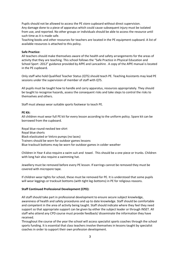Pupils should not be allowed to access the PE store cupboard without direct supervision. Any damage done to a piece of apparatus which could cause subsequent injury must be isolated from use, and reported. No other groups or individuals should be able to access the resource until such time as it is made safe.

Teaching books and other resources for teachers are located in the PE equipment cupboard. A list of available resources is attached to this policy.

## **Safe Practice:**

All teachers should make themselves aware of the health and safety arrangements for the areas of activity that they are teaching. This school follows the "Safe Practice in Physical Education and School Sport -2012" guidance provided by AfPE and Lancashire . A copy of the AfPE manual is located in the PE cupboard*.*

Only staff who hold Qualified Teacher Status (QTS) should teach PE. Teaching Assistants may lead PE sessions under the supervision of member of staff with QTS.

All pupils must be taught how to handle and carry apparatus, resources appropriately. They should be taught to recognise hazards, assess the consequent risks and take steps to control the risks to themselves and others.

Staff must always wear suitable sports footwear to teach PE.

#### **PE Kit:**

All children must wear full PE kit for every lesson according to the uniform policy. Spare kit can be borrowed from the cupboard.

Royal blue round-necked tee-shirt Royal blue shorts Black elasticated or Velcro pumps (no laces) Trainers should be worn for outdoor games lessons Blue tracksuit bottoms may be worn for outdoor games in colder weather

Children in Year 4 also require a swim suit and towel. This should be a one piece or trunks. Children with long hair also require a swimming hat.

Jewellery must be removed before every PE lesson. If earrings cannot be removed they must be covered with micropore tape.

If children wear tights for school, these must be removed for PE. It is understood that some pupils will wear leggings or tracksuit bottoms (with tight leg-bottoms) in PE for religious reasons.

#### **Staff Continued Professional Development (CPD):**

All staff should take part in professional development to ensure secure subject knowledge, awareness of health and safety procedures and up to date knowledge. Staff should be comfortable and competent in the area of activity being taught. Staff should indicate where they feel they need support so that appropriate support can be given by either the subject leader or through INSET. All staff who attend any CPD course must provide feedback/ disseminate the information they have received.

Throughout the course of the year the school will access specialist sports coaches through the school sports funding. It is essential that class teachers involve themselves in lessons taught by specialist coaches in order to support their own profession development.